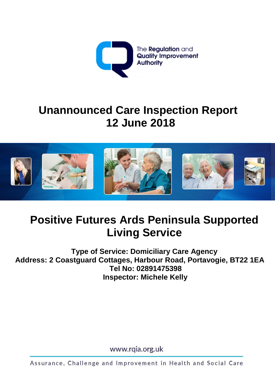

# **Unannounced Care Inspection Report 12 June 2018**



# **Positive Futures Ards Peninsula Supported Living Service**

**Type of Service: Domiciliary Care Agency Address: 2 Coastguard Cottages, Harbour Road, Portavogie, BT22 1EA Tel No: 02891475398 Inspector: Michele Kelly**

www.rqia.org.uk

Assurance, Challenge and Improvement in Health and Social Care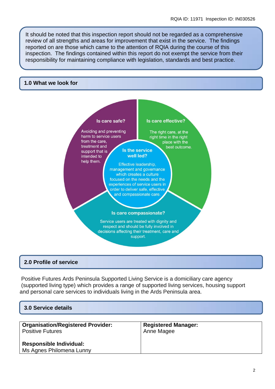It should be noted that this inspection report should not be regarded as a comprehensive review of all strengths and areas for improvement that exist in the service. The findings reported on are those which came to the attention of RQIA during the course of this inspection. The findings contained within this report do not exempt the service from their responsibility for maintaining compliance with legislation, standards and best practice.

#### **1.0 What we look for**



#### **2.0 Profile of service**

Positive Futures Ards Peninsula Supported Living Service is a domiciliary care agency (supported living type) which provides a range of supported living services, housing support and personal care services to individuals living in the Ards Peninsula area.

| 3.0 Service details                      |                            |  |
|------------------------------------------|----------------------------|--|
|                                          |                            |  |
| <b>Organisation/Registered Provider:</b> | <b>Registered Manager:</b> |  |
| <b>Positive Futures</b>                  | Anne Magee                 |  |
|                                          |                            |  |
| <b>Responsible Individual:</b>           |                            |  |
| Ms Agnes Philomena Lunny                 |                            |  |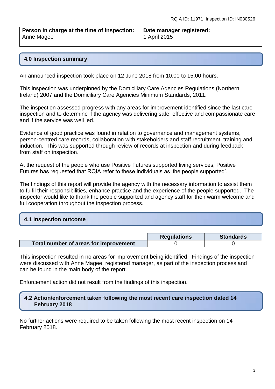| Person in charge at the time of inspection: | Date manager registered: |
|---------------------------------------------|--------------------------|
| Anne Magee                                  | 1 April 2015             |

#### **4.0 Inspection summary**

An announced inspection took place on 12 June 2018 from 10.00 to 15.00 hours.

This inspection was underpinned by the Domiciliary Care Agencies Regulations (Northern Ireland) 2007 and the Domiciliary Care Agencies Minimum Standards, 2011.

The inspection assessed progress with any areas for improvement identified since the last care inspection and to determine if the agency was delivering safe, effective and compassionate care and if the service was well led.

Evidence of good practice was found in relation to governance and management systems, person-centred care records, collaboration with stakeholders and staff recruitment, training and induction. This was supported through review of records at inspection and during feedback from staff on inspection.

At the request of the people who use Positive Futures supported living services, Positive Futures has requested that RQIA refer to these individuals as 'the people supported'.

The findings of this report will provide the agency with the necessary information to assist them to fulfil their responsibilities, enhance practice and the experience of the people supported. The inspector would like to thank the people supported and agency staff for their warm welcome and full cooperation throughout the inspection process.

# **4.1 Inspection outcome**

|                                       | <b>Regulations</b> | <b>Standards</b> |
|---------------------------------------|--------------------|------------------|
| Total number of areas for improvement |                    |                  |

This inspection resulted in no areas for improvement being identified. Findings of the inspection were discussed with Anne Magee, registered manager, as part of the inspection process and can be found in the main body of the report.

Enforcement action did not result from the findings of this inspection.

#### **4.2 Action/enforcement taken following the most recent care inspection dated 14 February 2018**

No further actions were required to be taken following the most recent inspection on 14 February 2018.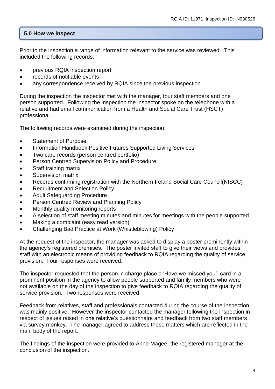# **5.0 How we inspect**

Prior to the inspection a range of information relevant to the service was reviewed. This included the following records:

- previous RQIA inspection report
- records of notifiable events
- any correspondence received by RQIA since the previous inspection

During the inspection the inspector met with the manager, four staff members and one person supported. Following the inspection the inspector spoke on the telephone with a relative and had email communication from a Health and Social Care Trust (HSCT) professional.

The following records were examined during the inspection:

- Statement of Purpose
- Information Handbook Positive Futures Supported Living Services
- Two care records (person centred portfolio)
- **•** Person Centred Supervision Policy and Procedure
- Staff training matrix
- Supervision matrix
- Records confirming registration with the Northern Ireland Social Care Council(NISCC)
- Recruitment and Selection Policy
- Adult Safeguarding Procedure
- Person Centred Review and Planning Policy
- Monthly quality monitoring reports
- A selection of staff meeting minutes and minutes for meetings with the people supported
- Making a complaint (easy read version)
- Challenging Bad Practice at Work (Whistleblowing) Policy

At the request of the inspector, the manager was asked to display a poster prominently within the agency's registered premises. The poster invited staff to give their views and provides staff with an electronic means of providing feedback to RQIA regarding the quality of service provision. Four responses were received.

The inspector requested that the person in charge place a 'Have we missed you"' card in a prominent position in the agency to allow people supported and family members who were not available on the day of the inspection to give feedback to RQIA regarding the quality of service provision. Two responses were received.

Feedback from relatives, staff and professionals contacted during the course of the inspection was mainly positive. However the inspector contacted the manager following the inspection in respect of issues raised in one relative's questionnaire and feedback from two staff members via survey monkey. The manager agreed to address these matters which are reflected in the main body of the report.

The findings of the inspection were provided to Anne Magee, the registered manager at the conclusion of the inspection.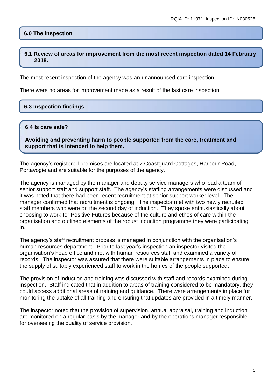#### **6.0 The inspection**

**6.1 Review of areas for improvement from the most recent inspection dated 14 February 2018.**

The most recent inspection of the agency was an unannounced care inspection.

There were no areas for improvement made as a result of the last care inspection.

#### **6.3 Inspection findings**

**6.4 Is care safe?**

**Avoiding and preventing harm to people supported from the care, treatment and support that is intended to help them.**

The agency's registered premises are located at 2 Coastguard Cottages, Harbour Road, Portavogie and are suitable for the purposes of the agency.

The agency is managed by the manager and deputy service managers who lead a team of senior support staff and support staff. The agency's staffing arrangements were discussed and it was noted that there had been recent recruitment at senior support worker level. The manager confirmed that recruitment is ongoing. The inspector met with two newly recruited staff members who were on the second day of induction. They spoke enthusiastically about choosing to work for Positive Futures because of the culture and ethos of care within the organisation and outlined elements of the robust induction programme they were participating in.

The agency's staff recruitment process is managed in conjunction with the organisation's human resources department. Prior to last year's inspection an inspector visited the organisation's head office and met with human resources staff and examined a variety of records. The inspector was assured that there were suitable arrangements in place to ensure the supply of suitably experienced staff to work in the homes of the people supported.

The provision of induction and training was discussed with staff and records examined during inspection. Staff indicated that in addition to areas of training considered to be mandatory, they could access additional areas of training and guidance. There were arrangements in place for monitoring the uptake of all training and ensuring that updates are provided in a timely manner.

The inspector noted that the provision of supervision, annual appraisal, training and induction are monitored on a regular basis by the manager and by the operations manager responsible for overseeing the quality of service provision.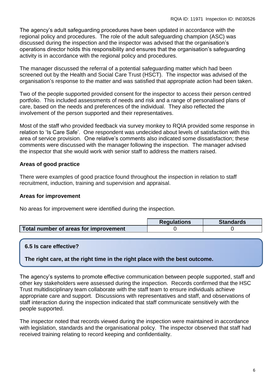The agency's adult safeguarding procedures have been updated in accordance with the regional policy and procedures. The role of the adult safeguarding champion (ASC) was discussed during the inspection and the inspector was advised that the organisation's operations director holds this responsibility and ensures that the organisation's safeguarding activity is in accordance with the regional policy and procedures.

The manager discussed the referral of a potential safeguarding matter which had been screened out by the Health and Social Care Trust (HSCT). The inspector was advised of the organisation's response to the matter and was satisfied that appropriate action had been taken.

Two of the people supported provided consent for the inspector to access their person centred portfolio. This included assessments of needs and risk and a range of personalised plans of care, based on the needs and preferences of the individual. They also reflected the involvement of the person supported and their representatives.

Most of the staff who provided feedback via survey monkey to RQIA provided some response in relation to 'Is Care Safe'. One respondent was undecided about levels of satisfaction with this area of service provision. One relative's comments also indicated some dissatisfaction; these comments were discussed with the manager following the inspection. The manager advised the inspector that she would work with senior staff to address the matters raised.

# **Areas of good practice**

There were examples of good practice found throughout the inspection in relation to staff recruitment, induction, training and supervision and appraisal.

# **Areas for improvement**

No areas for improvement were identified during the inspection.

|                                       | <b>Requlations</b> | <b>Standards</b> |
|---------------------------------------|--------------------|------------------|
| Total number of areas for improvement |                    |                  |

# **6.5 Is care effective?**

# **The right care, at the right time in the right place with the best outcome.**

The agency's systems to promote effective communication between people supported, staff and other key stakeholders were assessed during the inspection. Records confirmed that the HSC Trust multidisciplinary team collaborate with the staff team to ensure individuals achieve appropriate care and support. Discussions with representatives and staff, and observations of staff interaction during the inspection indicated that staff communicate sensitively with the people supported.

The inspector noted that records viewed during the inspection were maintained in accordance with legislation, standards and the organisational policy. The inspector observed that staff had received training relating to record keeping and confidentiality.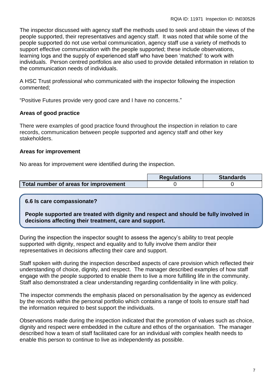The inspector discussed with agency staff the methods used to seek and obtain the views of the people supported, their representatives and agency staff. It was noted that while some of the people supported do not use verbal communication, agency staff use a variety of methods to support effective communication with the people supported; these include observations, learning logs and the supply of experienced staff who have been 'matched' to work with individuals. Person centred portfolios are also used to provide detailed information in relation to the communication needs of individuals.

A HSC Trust professional who communicated with the inspector following the inspection commented;

"Positive Futures provide very good care and I have no concerns."

# **Areas of good practice**

There were examples of good practice found throughout the inspection in relation to care records, communication between people supported and agency staff and other key stakeholders.

# **Areas for improvement**

No areas for improvement were identified during the inspection.

|                                       | <b>Regulations</b> | <b>Standards</b> |
|---------------------------------------|--------------------|------------------|
| Total number of areas for improvement |                    |                  |

# **6.6 Is care compassionate?**

**People supported are treated with dignity and respect and should be fully involved in decisions affecting their treatment, care and support.**

During the inspection the inspector sought to assess the agency's ability to treat people supported with dignity, respect and equality and to fully involve them and/or their representatives in decisions affecting their care and support.

Staff spoken with during the inspection described aspects of care provision which reflected their understanding of choice, dignity, and respect. The manager described examples of how staff engage with the people supported to enable them to live a more fulfilling life in the community. Staff also demonstrated a clear understanding regarding confidentiality in line with policy.

The inspector commends the emphasis placed on personalisation by the agency as evidenced by the records within the personal portfolio which contains a range of tools to ensure staff had the information required to best support the individuals.

Observations made during the inspection indicated that the promotion of values such as choice, dignity and respect were embedded in the culture and ethos of the organisation. The manager described how a team of staff facilitated care for an individual with complex health needs to enable this person to continue to live as independently as possible.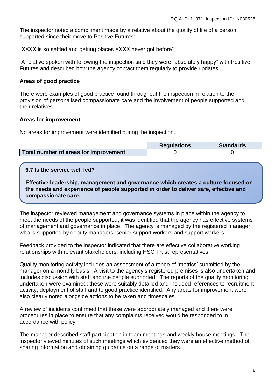The inspector noted a compliment made by a relative about the quality of life of a person supported since their move to Positive Futures:

"XXXX is so settled and getting places XXXX never got before"

A relative spoken with following the inspection said they were "absolutely happy" with Positive Futures and described how the agency contact them regularly to provide updates.

### **Areas of good practice**

There were examples of good practice found throughout the inspection in relation to the provision of personalised compassionate care and the involvement of people supported and their relatives.

#### **Areas for improvement**

No areas for improvement were identified during the inspection.

|                                       | <b>Requlations</b> | <b>Standards</b> |
|---------------------------------------|--------------------|------------------|
| Total number of areas for improvement |                    |                  |

# **6.7 Is the service well led?**

**Effective leadership, management and governance which creates a culture focused on the needs and experience of people supported in order to deliver safe, effective and compassionate care.**

The inspector reviewed management and governance systems in place within the agency to meet the needs of the people supported; it was identified that the agency has effective systems of management and governance in place. The agency is managed by the registered manager who is supported by deputy managers, senior support workers and support workers.

Feedback provided to the inspector indicated that there are effective collaborative working relationships with relevant stakeholders, including HSC Trust representatives.

Quality monitoring activity includes an assessment of a range of 'metrics' submitted by the manager on a monthly basis. A visit to the agency's registered premises is also undertaken and includes discussion with staff and the people supported. The reports of the quality monitoring undertaken were examined; these were suitably detailed and included references to recruitment activity, deployment of staff and to good practice identified. Any areas for improvement were also clearly noted alongside actions to be taken and timescales.

A review of incidents confirmed that these were appropriately managed and there were procedures in place to ensure that any complaints received would be responded to in accordance with policy.

The manager described staff participation in team meetings and weekly house meetings. The inspector viewed minutes of such meetings which evidenced they were an effective method of sharing information and obtaining guidance on a range of matters.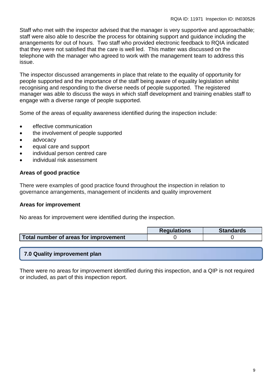Staff who met with the inspector advised that the manager is very supportive and approachable; staff were also able to describe the process for obtaining support and guidance including the arrangements for out of hours. Two staff who provided electronic feedback to RQIA indicated that they were not satisfied that the care is well led. This matter was discussed on the telephone with the manager who agreed to work with the management team to address this issue.

The inspector discussed arrangements in place that relate to the equality of opportunity for people supported and the importance of the staff being aware of equality legislation whilst recognising and responding to the diverse needs of people supported. The registered manager was able to discuss the ways in which staff development and training enables staff to engage with a diverse range of people supported.

Some of the areas of equality awareness identified during the inspection include:

- **e** effective communication
- the involvement of people supported
- advocacy
- equal care and support
- individual person centred care
- individual risk assessment

### **Areas of good practice**

There were examples of good practice found throughout the inspection in relation to governance arrangements, management of incidents and quality improvement

#### **Areas for improvement**

No areas for improvement were identified during the inspection.

|                                       | <b>Requlations</b> | <b>Standards</b> |
|---------------------------------------|--------------------|------------------|
| Total number of areas for improvement |                    |                  |

#### **7.0 Quality improvement plan**

There were no areas for improvement identified during this inspection, and a QIP is not required or included, as part of this inspection report.